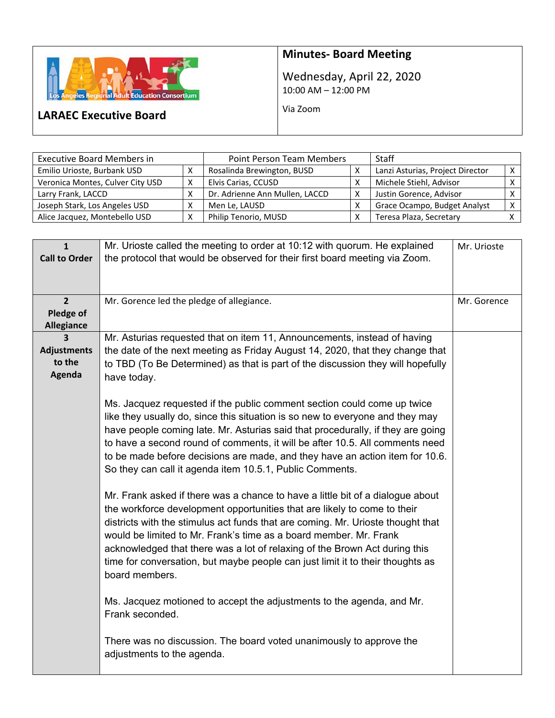

# **Minutes‐ Board Meeting**

Wednesday, April 22, 2020 10:00 AM – 12:00 PM

Via Zoom

# **LARAEC Executive Board**

| <b>Executive Board Members in</b> | <b>Point Person Team Members</b> |                                | Staff        |                                  |  |
|-----------------------------------|----------------------------------|--------------------------------|--------------|----------------------------------|--|
| Emilio Urioste, Burbank USD       |                                  | Rosalinda Brewington, BUSD     | $\check{ }$  | Lanzi Asturias, Project Director |  |
| Veronica Montes, Culver City USD  |                                  | Elvis Carias, CCUSD            |              | Michele Stiehl, Advisor          |  |
| Larry Frank, LACCD                |                                  | Dr. Adrienne Ann Mullen, LACCD | $\checkmark$ | Justin Gorence, Advisor          |  |
| Joseph Stark, Los Angeles USD     |                                  | Men Le, LAUSD                  |              | Grace Ocampo, Budget Analyst     |  |
| Alice Jacquez, Montebello USD     |                                  | Philip Tenorio, MUSD           |              | Teresa Plaza, Secretary          |  |

| $\mathbf{1}$<br><b>Call to Order</b>             | Mr. Urioste called the meeting to order at 10:12 with quorum. He explained<br>the protocol that would be observed for their first board meeting via Zoom.                                                                                                                                                                                                                                                                                                                                                                                                                                                                                                                                                                                                                                                                                                                                                                                                                                                                                                                                                                                                                                                                                                                                                               | Mr. Urioste |
|--------------------------------------------------|-------------------------------------------------------------------------------------------------------------------------------------------------------------------------------------------------------------------------------------------------------------------------------------------------------------------------------------------------------------------------------------------------------------------------------------------------------------------------------------------------------------------------------------------------------------------------------------------------------------------------------------------------------------------------------------------------------------------------------------------------------------------------------------------------------------------------------------------------------------------------------------------------------------------------------------------------------------------------------------------------------------------------------------------------------------------------------------------------------------------------------------------------------------------------------------------------------------------------------------------------------------------------------------------------------------------------|-------------|
| $\overline{2}$<br>Pledge of<br><b>Allegiance</b> | Mr. Gorence led the pledge of allegiance.                                                                                                                                                                                                                                                                                                                                                                                                                                                                                                                                                                                                                                                                                                                                                                                                                                                                                                                                                                                                                                                                                                                                                                                                                                                                               | Mr. Gorence |
| 3<br><b>Adjustments</b><br>to the<br>Agenda      | Mr. Asturias requested that on item 11, Announcements, instead of having<br>the date of the next meeting as Friday August 14, 2020, that they change that<br>to TBD (To Be Determined) as that is part of the discussion they will hopefully<br>have today.<br>Ms. Jacquez requested if the public comment section could come up twice<br>like they usually do, since this situation is so new to everyone and they may<br>have people coming late. Mr. Asturias said that procedurally, if they are going<br>to have a second round of comments, it will be after 10.5. All comments need<br>to be made before decisions are made, and they have an action item for 10.6.<br>So they can call it agenda item 10.5.1, Public Comments.<br>Mr. Frank asked if there was a chance to have a little bit of a dialogue about<br>the workforce development opportunities that are likely to come to their<br>districts with the stimulus act funds that are coming. Mr. Urioste thought that<br>would be limited to Mr. Frank's time as a board member. Mr. Frank<br>acknowledged that there was a lot of relaxing of the Brown Act during this<br>time for conversation, but maybe people can just limit it to their thoughts as<br>board members.<br>Ms. Jacquez motioned to accept the adjustments to the agenda, and Mr. |             |
|                                                  | Frank seconded.<br>There was no discussion. The board voted unanimously to approve the<br>adjustments to the agenda.                                                                                                                                                                                                                                                                                                                                                                                                                                                                                                                                                                                                                                                                                                                                                                                                                                                                                                                                                                                                                                                                                                                                                                                                    |             |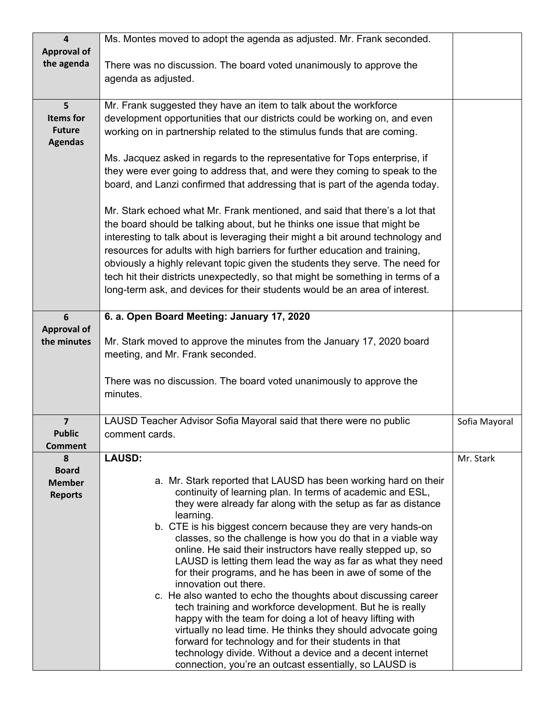| $\overline{\mathbf{4}}$ | Ms. Montes moved to adopt the agenda as adjusted. Mr. Frank seconded.                                                         |               |  |  |  |  |  |
|-------------------------|-------------------------------------------------------------------------------------------------------------------------------|---------------|--|--|--|--|--|
| <b>Approval of</b>      |                                                                                                                               |               |  |  |  |  |  |
| the agenda              | There was no discussion. The board voted unanimously to approve the                                                           |               |  |  |  |  |  |
|                         | agenda as adjusted.                                                                                                           |               |  |  |  |  |  |
|                         |                                                                                                                               |               |  |  |  |  |  |
| 5                       | Mr. Frank suggested they have an item to talk about the workforce                                                             |               |  |  |  |  |  |
| <b>Items for</b>        | development opportunities that our districts could be working on, and even                                                    |               |  |  |  |  |  |
| <b>Future</b>           | working on in partnership related to the stimulus funds that are coming.                                                      |               |  |  |  |  |  |
| <b>Agendas</b>          |                                                                                                                               |               |  |  |  |  |  |
|                         | Ms. Jacquez asked in regards to the representative for Tops enterprise, if                                                    |               |  |  |  |  |  |
|                         | they were ever going to address that, and were they coming to speak to the                                                    |               |  |  |  |  |  |
|                         | board, and Lanzi confirmed that addressing that is part of the agenda today.                                                  |               |  |  |  |  |  |
|                         |                                                                                                                               |               |  |  |  |  |  |
|                         | Mr. Stark echoed what Mr. Frank mentioned, and said that there's a lot that                                                   |               |  |  |  |  |  |
|                         | the board should be talking about, but he thinks one issue that might be                                                      |               |  |  |  |  |  |
|                         | interesting to talk about is leveraging their might a bit around technology and                                               |               |  |  |  |  |  |
|                         | resources for adults with high barriers for further education and training,                                                   |               |  |  |  |  |  |
|                         | obviously a highly relevant topic given the students they serve. The need for                                                 |               |  |  |  |  |  |
|                         | tech hit their districts unexpectedly, so that might be something in terms of a                                               |               |  |  |  |  |  |
|                         | long-term ask, and devices for their students would be an area of interest.                                                   |               |  |  |  |  |  |
|                         |                                                                                                                               |               |  |  |  |  |  |
| 6                       | 6. a. Open Board Meeting: January 17, 2020                                                                                    |               |  |  |  |  |  |
| <b>Approval of</b>      |                                                                                                                               |               |  |  |  |  |  |
| the minutes             | Mr. Stark moved to approve the minutes from the January 17, 2020 board                                                        |               |  |  |  |  |  |
|                         | meeting, and Mr. Frank seconded.                                                                                              |               |  |  |  |  |  |
|                         |                                                                                                                               |               |  |  |  |  |  |
|                         | There was no discussion. The board voted unanimously to approve the                                                           |               |  |  |  |  |  |
|                         | minutes.                                                                                                                      |               |  |  |  |  |  |
|                         |                                                                                                                               |               |  |  |  |  |  |
| $\overline{7}$          | LAUSD Teacher Advisor Sofia Mayoral said that there were no public                                                            | Sofia Mayoral |  |  |  |  |  |
| <b>Public</b>           | comment cards.                                                                                                                |               |  |  |  |  |  |
| <b>Comment</b>          |                                                                                                                               |               |  |  |  |  |  |
| 8                       | <b>LAUSD:</b>                                                                                                                 | Mr. Stark     |  |  |  |  |  |
| <b>Board</b>            |                                                                                                                               |               |  |  |  |  |  |
| <b>Member</b>           | a. Mr. Stark reported that LAUSD has been working hard on their<br>continuity of learning plan. In terms of academic and ESL, |               |  |  |  |  |  |
| <b>Reports</b>          | they were already far along with the setup as far as distance                                                                 |               |  |  |  |  |  |
|                         | learning.                                                                                                                     |               |  |  |  |  |  |
|                         | b. CTE is his biggest concern because they are very hands-on                                                                  |               |  |  |  |  |  |
|                         | classes, so the challenge is how you do that in a viable way                                                                  |               |  |  |  |  |  |
|                         | online. He said their instructors have really stepped up, so                                                                  |               |  |  |  |  |  |
|                         | LAUSD is letting them lead the way as far as what they need                                                                   |               |  |  |  |  |  |
|                         | for their programs, and he has been in awe of some of the                                                                     |               |  |  |  |  |  |
|                         | innovation out there.                                                                                                         |               |  |  |  |  |  |
|                         | c. He also wanted to echo the thoughts about discussing career<br>tech training and workforce development. But he is really   |               |  |  |  |  |  |
|                         | happy with the team for doing a lot of heavy lifting with                                                                     |               |  |  |  |  |  |
|                         | virtually no lead time. He thinks they should advocate going                                                                  |               |  |  |  |  |  |
|                         | forward for technology and for their students in that                                                                         |               |  |  |  |  |  |
|                         | technology divide. Without a device and a decent internet                                                                     |               |  |  |  |  |  |
|                         | connection, you're an outcast essentially, so LAUSD is                                                                        |               |  |  |  |  |  |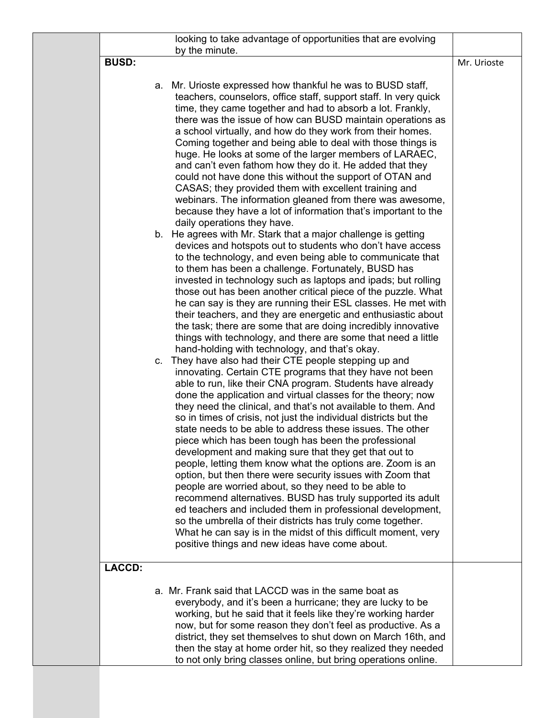|               | looking to take advantage of opportunities that are evolving                                                                                                                                                                                                                                                                                                                                                                                                                                                                                                                                                                                                                                                                                                                                                                                                                                                                                                                                                                                                                                                                                                                                                                                                                                                                                 |             |
|---------------|----------------------------------------------------------------------------------------------------------------------------------------------------------------------------------------------------------------------------------------------------------------------------------------------------------------------------------------------------------------------------------------------------------------------------------------------------------------------------------------------------------------------------------------------------------------------------------------------------------------------------------------------------------------------------------------------------------------------------------------------------------------------------------------------------------------------------------------------------------------------------------------------------------------------------------------------------------------------------------------------------------------------------------------------------------------------------------------------------------------------------------------------------------------------------------------------------------------------------------------------------------------------------------------------------------------------------------------------|-------------|
| <b>BUSD:</b>  |                                                                                                                                                                                                                                                                                                                                                                                                                                                                                                                                                                                                                                                                                                                                                                                                                                                                                                                                                                                                                                                                                                                                                                                                                                                                                                                                              | Mr. Urioste |
|               | by the minute.<br>a. Mr. Urioste expressed how thankful he was to BUSD staff,<br>teachers, counselors, office staff, support staff. In very quick<br>time, they came together and had to absorb a lot. Frankly,<br>there was the issue of how can BUSD maintain operations as<br>a school virtually, and how do they work from their homes.<br>Coming together and being able to deal with those things is<br>huge. He looks at some of the larger members of LARAEC,<br>and can't even fathom how they do it. He added that they<br>could not have done this without the support of OTAN and<br>CASAS; they provided them with excellent training and<br>webinars. The information gleaned from there was awesome,<br>because they have a lot of information that's important to the<br>daily operations they have.<br>b. He agrees with Mr. Stark that a major challenge is getting<br>devices and hotspots out to students who don't have access<br>to the technology, and even being able to communicate that<br>to them has been a challenge. Fortunately, BUSD has<br>invested in technology such as laptops and ipads; but rolling<br>those out has been another critical piece of the puzzle. What<br>he can say is they are running their ESL classes. He met with<br>their teachers, and they are energetic and enthusiastic about |             |
|               | the task; there are some that are doing incredibly innovative<br>things with technology, and there are some that need a little<br>hand-holding with technology, and that's okay.<br>c. They have also had their CTE people stepping up and<br>innovating. Certain CTE programs that they have not been<br>able to run, like their CNA program. Students have already<br>done the application and virtual classes for the theory; now<br>they need the clinical, and that's not available to them. And<br>so in times of crisis, not just the individual districts but the<br>state needs to be able to address these issues. The other<br>piece which has been tough has been the professional<br>development and making sure that they get that out to<br>people, letting them know what the options are. Zoom is an<br>option, but then there were security issues with Zoom that<br>people are worried about, so they need to be able to<br>recommend alternatives. BUSD has truly supported its adult<br>ed teachers and included them in professional development,<br>so the umbrella of their districts has truly come together.<br>What he can say is in the midst of this difficult moment, very<br>positive things and new ideas have come about.                                                                                   |             |
| <b>LACCD:</b> | a. Mr. Frank said that LACCD was in the same boat as                                                                                                                                                                                                                                                                                                                                                                                                                                                                                                                                                                                                                                                                                                                                                                                                                                                                                                                                                                                                                                                                                                                                                                                                                                                                                         |             |
|               | everybody, and it's been a hurricane; they are lucky to be<br>working, but he said that it feels like they're working harder<br>now, but for some reason they don't feel as productive. As a<br>district, they set themselves to shut down on March 16th, and<br>then the stay at home order hit, so they realized they needed<br>to not only bring classes online, but bring operations online.                                                                                                                                                                                                                                                                                                                                                                                                                                                                                                                                                                                                                                                                                                                                                                                                                                                                                                                                             |             |
|               |                                                                                                                                                                                                                                                                                                                                                                                                                                                                                                                                                                                                                                                                                                                                                                                                                                                                                                                                                                                                                                                                                                                                                                                                                                                                                                                                              |             |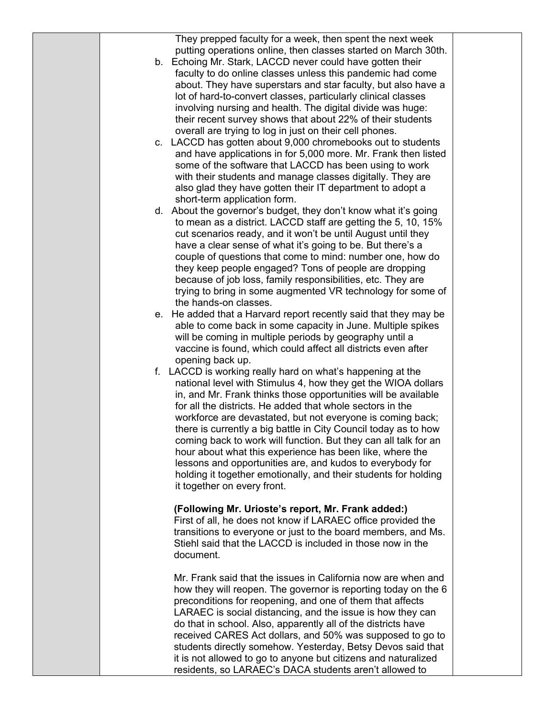They prepped faculty for a week, then spent the next week putting operations online, then classes started on March 30th.

- b. Echoing Mr. Stark, LACCD never could have gotten their faculty to do online classes unless this pandemic had come about. They have superstars and star faculty, but also have a lot of hard-to-convert classes, particularly clinical classes involving nursing and health. The digital divide was huge: their recent survey shows that about 22% of their students overall are trying to log in just on their cell phones.
- c. LACCD has gotten about 9,000 chromebooks out to students and have applications in for 5,000 more. Mr. Frank then listed some of the software that LACCD has been using to work with their students and manage classes digitally. They are also glad they have gotten their IT department to adopt a short-term application form.
- d. About the governor's budget, they don't know what it's going to mean as a district. LACCD staff are getting the 5, 10, 15% cut scenarios ready, and it won't be until August until they have a clear sense of what it's going to be. But there's a couple of questions that come to mind: number one, how do they keep people engaged? Tons of people are dropping because of job loss, family responsibilities, etc. They are trying to bring in some augmented VR technology for some of the hands-on classes.
- e. He added that a Harvard report recently said that they may be able to come back in some capacity in June. Multiple spikes will be coming in multiple periods by geography until a vaccine is found, which could affect all districts even after opening back up.
- f. LACCD is working really hard on what's happening at the national level with Stimulus 4, how they get the WIOA dollars in, and Mr. Frank thinks those opportunities will be available for all the districts. He added that whole sectors in the workforce are devastated, but not everyone is coming back; there is currently a big battle in City Council today as to how coming back to work will function. But they can all talk for an hour about what this experience has been like, where the lessons and opportunities are, and kudos to everybody for holding it together emotionally, and their students for holding it together on every front.

#### **(Following Mr. Urioste's report, Mr. Frank added:)**

First of all, he does not know if LARAEC office provided the transitions to everyone or just to the board members, and Ms. Stiehl said that the LACCD is included in those now in the document.

Mr. Frank said that the issues in California now are when and how they will reopen. The governor is reporting today on the 6 preconditions for reopening, and one of them that affects LARAEC is social distancing, and the issue is how they can do that in school. Also, apparently all of the districts have received CARES Act dollars, and 50% was supposed to go to students directly somehow. Yesterday, Betsy Devos said that it is not allowed to go to anyone but citizens and naturalized residents, so LARAEC's DACA students aren't allowed to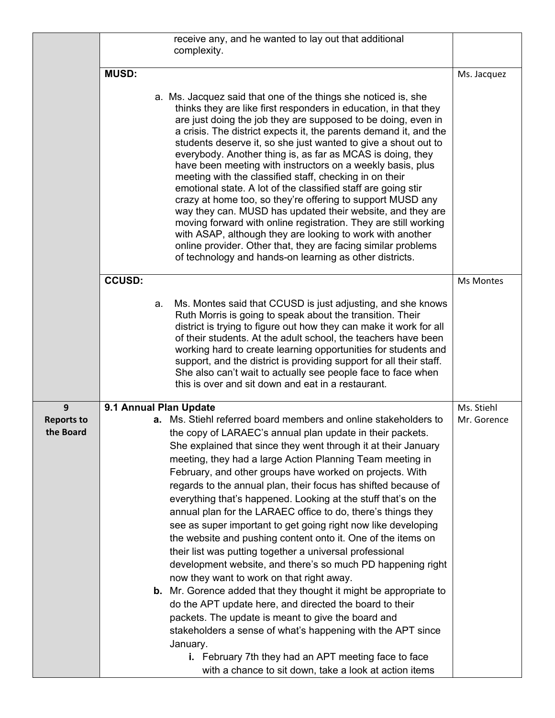|                                |               | receive any, and he wanted to lay out that additional<br>complexity.                                                                                                                                                                                                                                                                                                                                                                                                                                                                                                                                                                                                                                                                                                                                                                                                                                                                                                                                                                                                                                                                                                                                                           |             |
|--------------------------------|---------------|--------------------------------------------------------------------------------------------------------------------------------------------------------------------------------------------------------------------------------------------------------------------------------------------------------------------------------------------------------------------------------------------------------------------------------------------------------------------------------------------------------------------------------------------------------------------------------------------------------------------------------------------------------------------------------------------------------------------------------------------------------------------------------------------------------------------------------------------------------------------------------------------------------------------------------------------------------------------------------------------------------------------------------------------------------------------------------------------------------------------------------------------------------------------------------------------------------------------------------|-------------|
|                                | <b>MUSD:</b>  |                                                                                                                                                                                                                                                                                                                                                                                                                                                                                                                                                                                                                                                                                                                                                                                                                                                                                                                                                                                                                                                                                                                                                                                                                                | Ms. Jacquez |
|                                |               | a. Ms. Jacquez said that one of the things she noticed is, she<br>thinks they are like first responders in education, in that they<br>are just doing the job they are supposed to be doing, even in<br>a crisis. The district expects it, the parents demand it, and the<br>students deserve it, so she just wanted to give a shout out to<br>everybody. Another thing is, as far as MCAS is doing, they<br>have been meeting with instructors on a weekly basis, plus<br>meeting with the classified staff, checking in on their<br>emotional state. A lot of the classified staff are going stir<br>crazy at home too, so they're offering to support MUSD any<br>way they can. MUSD has updated their website, and they are<br>moving forward with online registration. They are still working<br>with ASAP, although they are looking to work with another<br>online provider. Other that, they are facing similar problems<br>of technology and hands-on learning as other districts.                                                                                                                                                                                                                                     |             |
|                                | <b>CCUSD:</b> |                                                                                                                                                                                                                                                                                                                                                                                                                                                                                                                                                                                                                                                                                                                                                                                                                                                                                                                                                                                                                                                                                                                                                                                                                                | Ms Montes   |
|                                |               | Ms. Montes said that CCUSD is just adjusting, and she knows<br>а.<br>Ruth Morris is going to speak about the transition. Their<br>district is trying to figure out how they can make it work for all<br>of their students. At the adult school, the teachers have been<br>working hard to create learning opportunities for students and<br>support, and the district is providing support for all their staff.<br>She also can't wait to actually see people face to face when<br>this is over and sit down and eat in a restaurant.                                                                                                                                                                                                                                                                                                                                                                                                                                                                                                                                                                                                                                                                                          |             |
| 9                              |               | 9.1 Annual Plan Update                                                                                                                                                                                                                                                                                                                                                                                                                                                                                                                                                                                                                                                                                                                                                                                                                                                                                                                                                                                                                                                                                                                                                                                                         | Ms. Stiehl  |
| <b>Reports to</b><br>the Board |               | a. Ms. Stiehl referred board members and online stakeholders to<br>the copy of LARAEC's annual plan update in their packets.<br>She explained that since they went through it at their January<br>meeting, they had a large Action Planning Team meeting in<br>February, and other groups have worked on projects. With<br>regards to the annual plan, their focus has shifted because of<br>everything that's happened. Looking at the stuff that's on the<br>annual plan for the LARAEC office to do, there's things they<br>see as super important to get going right now like developing<br>the website and pushing content onto it. One of the items on<br>their list was putting together a universal professional<br>development website, and there's so much PD happening right<br>now they want to work on that right away.<br><b>b.</b> Mr. Gorence added that they thought it might be appropriate to<br>do the APT update here, and directed the board to their<br>packets. The update is meant to give the board and<br>stakeholders a sense of what's happening with the APT since<br>January.<br>i. February 7th they had an APT meeting face to face<br>with a chance to sit down, take a look at action items | Mr. Gorence |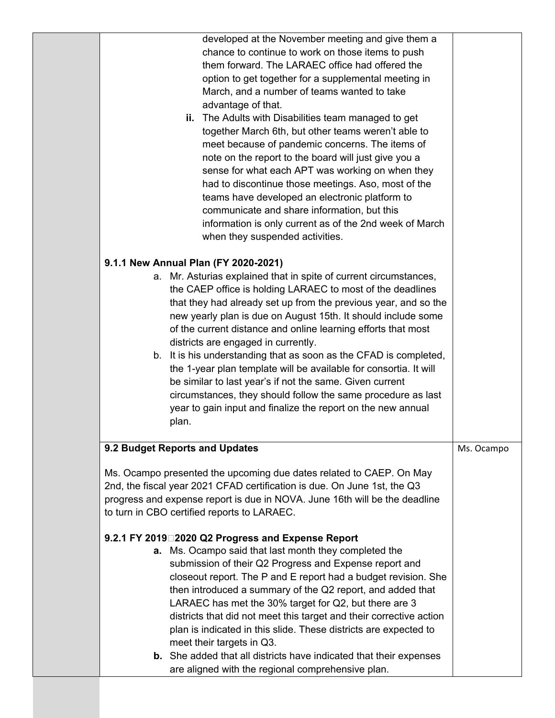| developed at the November meeting and give them a<br>chance to continue to work on those items to push<br>them forward. The LARAEC office had offered the<br>option to get together for a supplemental meeting in<br>March, and a number of teams wanted to take<br>advantage of that.<br>ii. The Adults with Disabilities team managed to get<br>together March 6th, but other teams weren't able to<br>meet because of pandemic concerns. The items of<br>note on the report to the board will just give you a<br>sense for what each APT was working on when they<br>had to discontinue those meetings. Aso, most of the<br>teams have developed an electronic platform to<br>communicate and share information, but this<br>information is only current as of the 2nd week of March<br>when they suspended activities. |            |
|----------------------------------------------------------------------------------------------------------------------------------------------------------------------------------------------------------------------------------------------------------------------------------------------------------------------------------------------------------------------------------------------------------------------------------------------------------------------------------------------------------------------------------------------------------------------------------------------------------------------------------------------------------------------------------------------------------------------------------------------------------------------------------------------------------------------------|------------|
| 9.1.1 New Annual Plan (FY 2020-2021)                                                                                                                                                                                                                                                                                                                                                                                                                                                                                                                                                                                                                                                                                                                                                                                       |            |
| a. Mr. Asturias explained that in spite of current circumstances,<br>the CAEP office is holding LARAEC to most of the deadlines<br>that they had already set up from the previous year, and so the<br>new yearly plan is due on August 15th. It should include some<br>of the current distance and online learning efforts that most<br>districts are engaged in currently.<br>b. It is his understanding that as soon as the CFAD is completed,<br>the 1-year plan template will be available for consortia. It will<br>be similar to last year's if not the same. Given current<br>circumstances, they should follow the same procedure as last<br>year to gain input and finalize the report on the new annual<br>plan.                                                                                                 |            |
| 9.2 Budget Reports and Updates                                                                                                                                                                                                                                                                                                                                                                                                                                                                                                                                                                                                                                                                                                                                                                                             | Ms. Ocampo |
|                                                                                                                                                                                                                                                                                                                                                                                                                                                                                                                                                                                                                                                                                                                                                                                                                            |            |
| Ms. Ocampo presented the upcoming due dates related to CAEP. On May<br>2nd, the fiscal year 2021 CFAD certification is due. On June 1st, the Q3<br>progress and expense report is due in NOVA. June 16th will be the deadline<br>to turn in CBO certified reports to LARAEC.                                                                                                                                                                                                                                                                                                                                                                                                                                                                                                                                               |            |
| 9.2.1 FY 2019□2020 Q2 Progress and Expense Report<br>a. Ms. Ocampo said that last month they completed the<br>submission of their Q2 Progress and Expense report and<br>closeout report. The P and E report had a budget revision. She<br>then introduced a summary of the Q2 report, and added that<br>LARAEC has met the 30% target for Q2, but there are 3<br>districts that did not meet this target and their corrective action<br>plan is indicated in this slide. These districts are expected to<br>meet their targets in Q3.<br><b>b.</b> She added that all districts have indicated that their expenses                                                                                                                                                                                                         |            |
| are aligned with the regional comprehensive plan.                                                                                                                                                                                                                                                                                                                                                                                                                                                                                                                                                                                                                                                                                                                                                                          |            |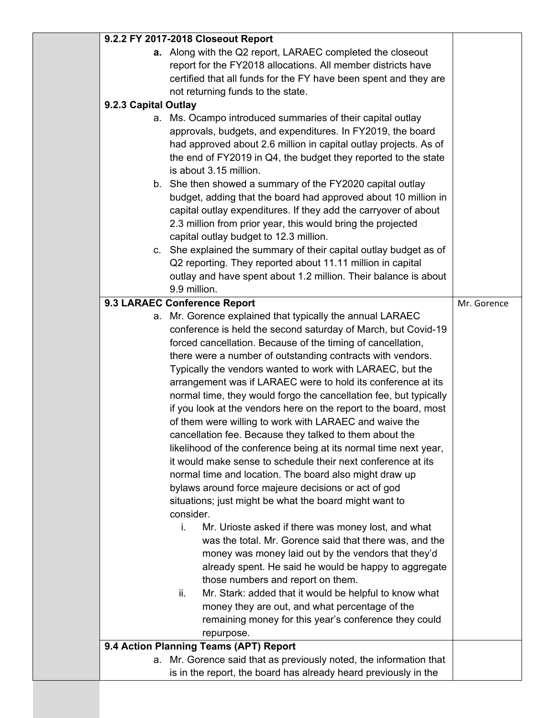|                      | 9.2.2 FY 2017-2018 Closeout Report                                |             |
|----------------------|-------------------------------------------------------------------|-------------|
|                      | a. Along with the Q2 report, LARAEC completed the closeout        |             |
|                      | report for the FY2018 allocations. All member districts have      |             |
|                      | certified that all funds for the FY have been spent and they are  |             |
|                      | not returning funds to the state.                                 |             |
|                      |                                                                   |             |
| 9.2.3 Capital Outlay |                                                                   |             |
|                      | a. Ms. Ocampo introduced summaries of their capital outlay        |             |
|                      | approvals, budgets, and expenditures. In FY2019, the board        |             |
|                      | had approved about 2.6 million in capital outlay projects. As of  |             |
|                      | the end of FY2019 in Q4, the budget they reported to the state    |             |
|                      | is about 3.15 million.                                            |             |
|                      | b. She then showed a summary of the FY2020 capital outlay         |             |
|                      | budget, adding that the board had approved about 10 million in    |             |
|                      | capital outlay expenditures. If they add the carryover of about   |             |
|                      | 2.3 million from prior year, this would bring the projected       |             |
|                      | capital outlay budget to 12.3 million.                            |             |
|                      | c. She explained the summary of their capital outlay budget as of |             |
|                      | Q2 reporting. They reported about 11.11 million in capital        |             |
|                      | outlay and have spent about 1.2 million. Their balance is about   |             |
|                      | 9.9 million.                                                      |             |
|                      | 9.3 LARAEC Conference Report                                      | Mr. Gorence |
|                      |                                                                   |             |
|                      | a. Mr. Gorence explained that typically the annual LARAEC         |             |
|                      | conference is held the second saturday of March, but Covid-19     |             |
|                      | forced cancellation. Because of the timing of cancellation,       |             |
|                      | there were a number of outstanding contracts with vendors.        |             |
|                      | Typically the vendors wanted to work with LARAEC, but the         |             |
|                      | arrangement was if LARAEC were to hold its conference at its      |             |
|                      | normal time, they would forgo the cancellation fee, but typically |             |
|                      | if you look at the vendors here on the report to the board, most  |             |
|                      | of them were willing to work with LARAEC and waive the            |             |
|                      | cancellation fee. Because they talked to them about the           |             |
|                      | likelihood of the conference being at its normal time next year,  |             |
|                      | it would make sense to schedule their next conference at its      |             |
|                      | normal time and location. The board also might draw up            |             |
|                      | bylaws around force majeure decisions or act of god               |             |
|                      | situations; just might be what the board might want to            |             |
|                      | consider.                                                         |             |
|                      | i.<br>Mr. Urioste asked if there was money lost, and what         |             |
|                      | was the total. Mr. Gorence said that there was, and the           |             |
|                      | money was money laid out by the vendors that they'd               |             |
|                      | already spent. He said he would be happy to aggregate             |             |
|                      | those numbers and report on them.                                 |             |
|                      | Mr. Stark: added that it would be helpful to know what<br>ii.     |             |
|                      | money they are out, and what percentage of the                    |             |
|                      | remaining money for this year's conference they could             |             |
|                      |                                                                   |             |
|                      | repurpose.                                                        |             |
|                      | 9.4 Action Planning Teams (APT) Report                            |             |
| а.                   | Mr. Gorence said that as previously noted, the information that   |             |
|                      | is in the report, the board has already heard previously in the   |             |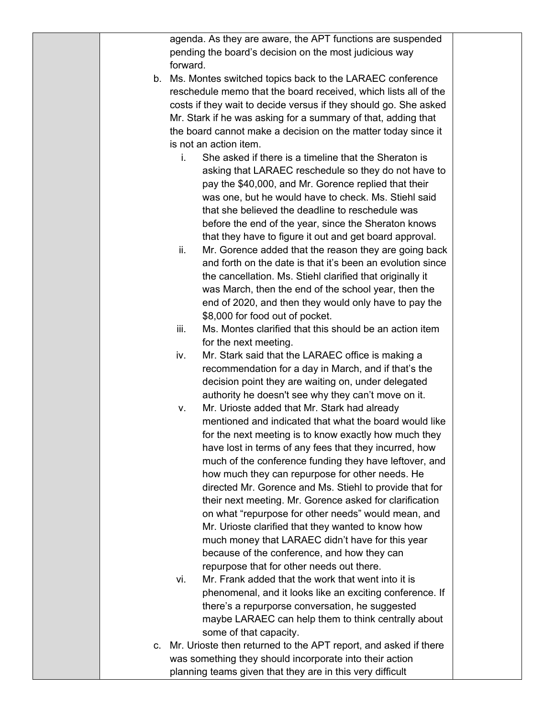|  |                                                               | agenda. As they are aware, the APT functions are suspended         |  |
|--|---------------------------------------------------------------|--------------------------------------------------------------------|--|
|  | pending the board's decision on the most judicious way        |                                                                    |  |
|  | forward.                                                      |                                                                    |  |
|  | b. Ms. Montes switched topics back to the LARAEC conference   |                                                                    |  |
|  |                                                               | reschedule memo that the board received, which lists all of the    |  |
|  |                                                               | costs if they wait to decide versus if they should go. She asked   |  |
|  | Mr. Stark if he was asking for a summary of that, adding that |                                                                    |  |
|  |                                                               | the board cannot make a decision on the matter today since it      |  |
|  | is not an action item.                                        |                                                                    |  |
|  | İ.                                                            | She asked if there is a timeline that the Sheraton is              |  |
|  |                                                               | asking that LARAEC reschedule so they do not have to               |  |
|  |                                                               | pay the \$40,000, and Mr. Gorence replied that their               |  |
|  |                                                               | was one, but he would have to check. Ms. Stiehl said               |  |
|  |                                                               | that she believed the deadline to reschedule was                   |  |
|  |                                                               | before the end of the year, since the Sheraton knows               |  |
|  |                                                               | that they have to figure it out and get board approval.            |  |
|  | ii.                                                           | Mr. Gorence added that the reason they are going back              |  |
|  |                                                               | and forth on the date is that it's been an evolution since         |  |
|  |                                                               | the cancellation. Ms. Stiehl clarified that originally it          |  |
|  |                                                               | was March, then the end of the school year, then the               |  |
|  |                                                               | end of 2020, and then they would only have to pay the              |  |
|  | \$8,000 for food out of pocket.                               |                                                                    |  |
|  | iii.                                                          | Ms. Montes clarified that this should be an action item            |  |
|  | for the next meeting.                                         |                                                                    |  |
|  | iv.                                                           | Mr. Stark said that the LARAEC office is making a                  |  |
|  |                                                               | recommendation for a day in March, and if that's the               |  |
|  |                                                               | decision point they are waiting on, under delegated                |  |
|  |                                                               | authority he doesn't see why they can't move on it.                |  |
|  | Mr. Urioste added that Mr. Stark had already<br>v.            |                                                                    |  |
|  |                                                               | mentioned and indicated that what the board would like             |  |
|  |                                                               | for the next meeting is to know exactly how much they              |  |
|  |                                                               | have lost in terms of any fees that they incurred, how             |  |
|  |                                                               | much of the conference funding they have leftover, and             |  |
|  |                                                               | how much they can repurpose for other needs. He                    |  |
|  |                                                               | directed Mr. Gorence and Ms. Stiehl to provide that for            |  |
|  |                                                               | their next meeting. Mr. Gorence asked for clarification            |  |
|  |                                                               | on what "repurpose for other needs" would mean, and                |  |
|  |                                                               | Mr. Urioste clarified that they wanted to know how                 |  |
|  |                                                               | much money that LARAEC didn't have for this year                   |  |
|  | because of the conference, and how they can                   |                                                                    |  |
|  | repurpose that for other needs out there.                     |                                                                    |  |
|  | vi.                                                           | Mr. Frank added that the work that went into it is                 |  |
|  |                                                               | phenomenal, and it looks like an exciting conference. If           |  |
|  |                                                               | there's a repurporse conversation, he suggested                    |  |
|  |                                                               | maybe LARAEC can help them to think centrally about                |  |
|  | some of that capacity.                                        |                                                                    |  |
|  |                                                               | c. Mr. Urioste then returned to the APT report, and asked if there |  |
|  | was something they should incorporate into their action       |                                                                    |  |
|  | planning teams given that they are in this very difficult     |                                                                    |  |
|  |                                                               |                                                                    |  |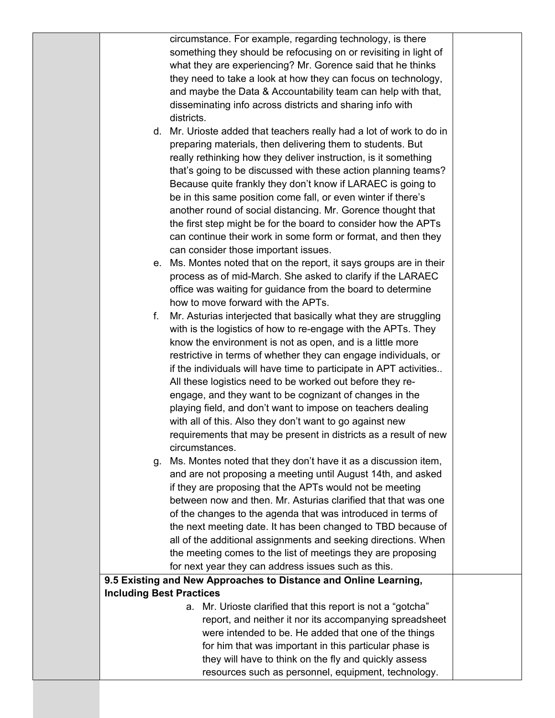|                                 | circumstance. For example, regarding technology, is there                                         |  |
|---------------------------------|---------------------------------------------------------------------------------------------------|--|
|                                 | something they should be refocusing on or revisiting in light of                                  |  |
|                                 | what they are experiencing? Mr. Gorence said that he thinks                                       |  |
|                                 | they need to take a look at how they can focus on technology,                                     |  |
|                                 | and maybe the Data & Accountability team can help with that,                                      |  |
|                                 | disseminating info across districts and sharing info with                                         |  |
|                                 | districts.                                                                                        |  |
|                                 | d. Mr. Urioste added that teachers really had a lot of work to do in                              |  |
|                                 | preparing materials, then delivering them to students. But                                        |  |
|                                 | really rethinking how they deliver instruction, is it something                                   |  |
|                                 | that's going to be discussed with these action planning teams?                                    |  |
|                                 | Because quite frankly they don't know if LARAEC is going to                                       |  |
|                                 | be in this same position come fall, or even winter if there's                                     |  |
|                                 | another round of social distancing. Mr. Gorence thought that                                      |  |
|                                 | the first step might be for the board to consider how the APTs                                    |  |
|                                 | can continue their work in some form or format, and then they                                     |  |
|                                 | can consider those important issues.                                                              |  |
|                                 | e. Ms. Montes noted that on the report, it says groups are in their                               |  |
|                                 | process as of mid-March. She asked to clarify if the LARAEC                                       |  |
|                                 | office was waiting for guidance from the board to determine<br>how to move forward with the APTs. |  |
| f.                              | Mr. Asturias interjected that basically what they are struggling                                  |  |
|                                 | with is the logistics of how to re-engage with the APTs. They                                     |  |
|                                 | know the environment is not as open, and is a little more                                         |  |
|                                 | restrictive in terms of whether they can engage individuals, or                                   |  |
|                                 | if the individuals will have time to participate in APT activities                                |  |
|                                 | All these logistics need to be worked out before they re-                                         |  |
|                                 | engage, and they want to be cognizant of changes in the                                           |  |
|                                 | playing field, and don't want to impose on teachers dealing                                       |  |
|                                 | with all of this. Also they don't want to go against new                                          |  |
|                                 | requirements that may be present in districts as a result of new                                  |  |
|                                 | circumstances.                                                                                    |  |
| q.                              | Ms. Montes noted that they don't have it as a discussion item,                                    |  |
|                                 | and are not proposing a meeting until August 14th, and asked                                      |  |
|                                 | if they are proposing that the APTs would not be meeting                                          |  |
|                                 | between now and then. Mr. Asturias clarified that that was one                                    |  |
|                                 | of the changes to the agenda that was introduced in terms of                                      |  |
|                                 | the next meeting date. It has been changed to TBD because of                                      |  |
|                                 | all of the additional assignments and seeking directions. When                                    |  |
|                                 | the meeting comes to the list of meetings they are proposing                                      |  |
|                                 | for next year they can address issues such as this.                                               |  |
|                                 | 9.5 Existing and New Approaches to Distance and Online Learning,                                  |  |
| <b>Including Best Practices</b> |                                                                                                   |  |
|                                 | a. Mr. Urioste clarified that this report is not a "gotcha"                                       |  |
|                                 | report, and neither it nor its accompanying spreadsheet                                           |  |
|                                 | were intended to be. He added that one of the things                                              |  |
|                                 | for him that was important in this particular phase is                                            |  |
|                                 | they will have to think on the fly and quickly assess                                             |  |
|                                 | resources such as personnel, equipment, technology.                                               |  |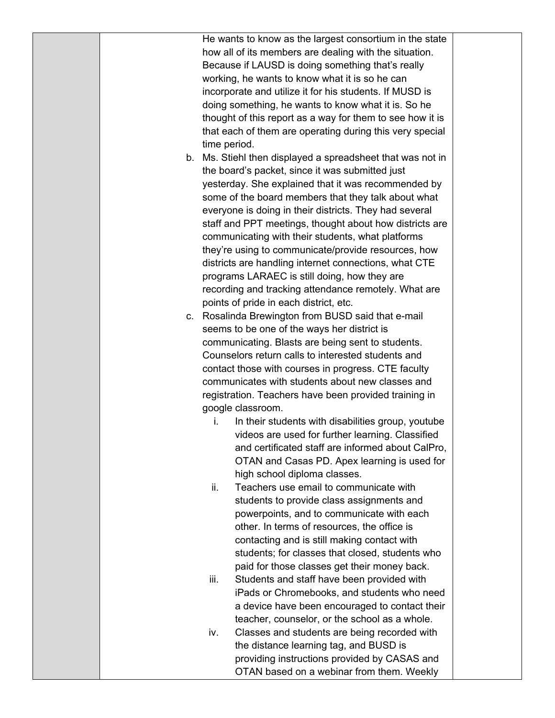|  |              | He wants to know as the largest consortium in the state    |  |
|--|--------------|------------------------------------------------------------|--|
|  |              | how all of its members are dealing with the situation.     |  |
|  |              | Because if LAUSD is doing something that's really          |  |
|  |              | working, he wants to know what it is so he can             |  |
|  |              | incorporate and utilize it for his students. If MUSD is    |  |
|  |              | doing something, he wants to know what it is. So he        |  |
|  |              | thought of this report as a way for them to see how it is  |  |
|  |              | that each of them are operating during this very special   |  |
|  | time period. |                                                            |  |
|  |              | b. Ms. Stiehl then displayed a spreadsheet that was not in |  |
|  |              | the board's packet, since it was submitted just            |  |
|  |              | yesterday. She explained that it was recommended by        |  |
|  |              | some of the board members that they talk about what        |  |
|  |              | everyone is doing in their districts. They had several     |  |
|  |              | staff and PPT meetings, thought about how districts are    |  |
|  |              | communicating with their students, what platforms          |  |
|  |              | they're using to communicate/provide resources, how        |  |
|  |              | districts are handling internet connections, what CTE      |  |
|  |              | programs LARAEC is still doing, how they are               |  |
|  |              | recording and tracking attendance remotely. What are       |  |
|  |              | points of pride in each district, etc.                     |  |
|  |              | c. Rosalinda Brewington from BUSD said that e-mail         |  |
|  |              | seems to be one of the ways her district is                |  |
|  |              | communicating. Blasts are being sent to students.          |  |
|  |              | Counselors return calls to interested students and         |  |
|  |              | contact those with courses in progress. CTE faculty        |  |
|  |              | communicates with students about new classes and           |  |
|  |              | registration. Teachers have been provided training in      |  |
|  |              | google classroom.                                          |  |
|  | İ.           | In their students with disabilities group, youtube         |  |
|  |              | videos are used for further learning. Classified           |  |
|  |              | and certificated staff are informed about CalPro,          |  |
|  |              | OTAN and Casas PD. Apex learning is used for               |  |
|  |              | high school diploma classes.                               |  |
|  | ii.          | Teachers use email to communicate with                     |  |
|  |              | students to provide class assignments and                  |  |
|  |              | powerpoints, and to communicate with each                  |  |
|  |              | other. In terms of resources, the office is                |  |
|  |              | contacting and is still making contact with                |  |
|  |              | students; for classes that closed, students who            |  |
|  |              | paid for those classes get their money back.               |  |
|  | iii.         | Students and staff have been provided with                 |  |
|  |              | iPads or Chromebooks, and students who need                |  |
|  |              | a device have been encouraged to contact their             |  |
|  |              | teacher, counselor, or the school as a whole.              |  |
|  | iv.          | Classes and students are being recorded with               |  |
|  |              | the distance learning tag, and BUSD is                     |  |
|  |              | providing instructions provided by CASAS and               |  |
|  |              | OTAN based on a webinar from them. Weekly                  |  |
|  |              |                                                            |  |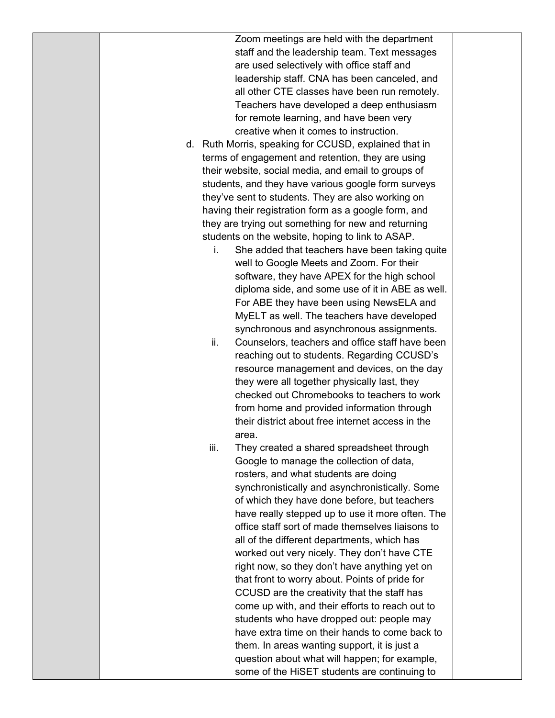Zoom meetings are held with the department staff and the leadership team. Text messages are used selectively with office staff and leadership staff. CNA has been canceled, and all other CTE classes have been run remotely. Teachers have developed a deep enthusiasm for remote learning, and have been very creative when it comes to instruction.

- d. Ruth Morris, speaking for CCUSD, explained that in terms of engagement and retention, they are using their website, social media, and email to groups of students, and they have various google form surveys they've sent to students. They are also working on having their registration form as a google form, and they are trying out something for new and returning students on the website, hoping to link to ASAP.
	- i. She added that teachers have been taking quite well to Google Meets and Zoom. For their software, they have APEX for the high school diploma side, and some use of it in ABE as well. For ABE they have been using NewsELA and MyELT as well. The teachers have developed synchronous and asynchronous assignments.
	- ii. Counselors, teachers and office staff have been reaching out to students. Regarding CCUSD's resource management and devices, on the day they were all together physically last, they checked out Chromebooks to teachers to work from home and provided information through their district about free internet access in the area.
	- iii. They created a shared spreadsheet through Google to manage the collection of data, rosters, and what students are doing synchronistically and asynchronistically. Some of which they have done before, but teachers have really stepped up to use it more often. The office staff sort of made themselves liaisons to all of the different departments, which has worked out very nicely. They don't have CTE right now, so they don't have anything yet on that front to worry about. Points of pride for CCUSD are the creativity that the staff has come up with, and their efforts to reach out to students who have dropped out: people may have extra time on their hands to come back to them. In areas wanting support, it is just a question about what will happen; for example, some of the HiSET students are continuing to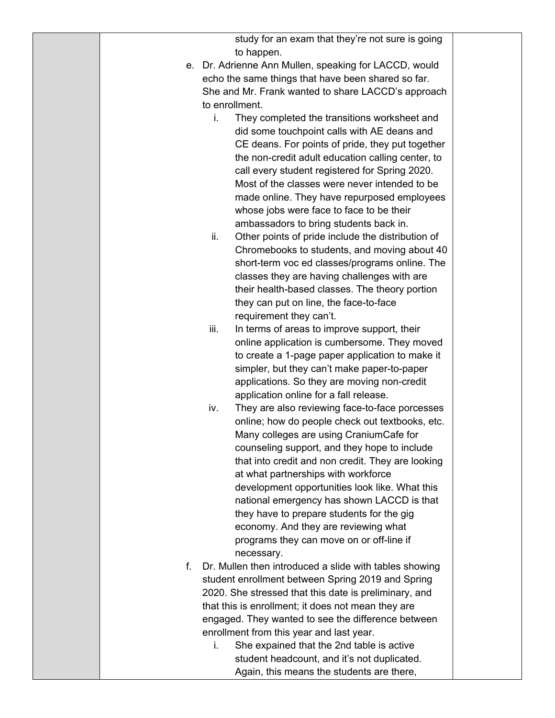| study for an exam that they're not sure is going |  |
|--------------------------------------------------|--|
| to happen.                                       |  |

- e. Dr. Adrienne Ann Mullen, speaking for LACCD, would echo the same things that have been shared so far. She and Mr. Frank wanted to share LACCD's approach to enrollment.
	- i. They completed the transitions worksheet and did some touchpoint calls with AE deans and CE deans. For points of pride, they put together the non-credit adult education calling center, to call every student registered for Spring 2020. Most of the classes were never intended to be made online. They have repurposed employees whose jobs were face to face to be their ambassadors to bring students back in.
	- ii. Other points of pride include the distribution of Chromebooks to students, and moving about 40 short-term voc ed classes/programs online. The classes they are having challenges with are their health-based classes. The theory portion they can put on line, the face-to-face requirement they can't.
	- iii. In terms of areas to improve support, their online application is cumbersome. They moved to create a 1-page paper application to make it simpler, but they can't make paper-to-paper applications. So they are moving non-credit application online for a fall release.
	- iv. They are also reviewing face-to-face porcesses online; how do people check out textbooks, etc. Many colleges are using CraniumCafe for counseling support, and they hope to include that into credit and non credit. They are looking at what partnerships with workforce development opportunities look like. What this national emergency has shown LACCD is that they have to prepare students for the gig economy. And they are reviewing what programs they can move on or off-line if necessary.
- f. Dr. Mullen then introduced a slide with tables showing student enrollment between Spring 2019 and Spring 2020. She stressed that this date is preliminary, and that this is enrollment; it does not mean they are engaged. They wanted to see the difference between enrollment from this year and last year.
	- i. She expained that the 2nd table is active student headcount, and it's not duplicated. Again, this means the students are there,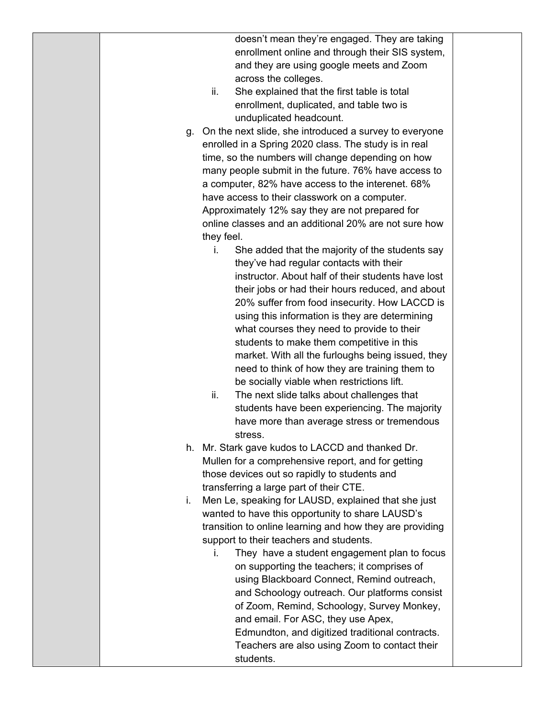doesn't mean they're engaged. They are taking enrollment online and through their SIS system, and they are using google meets and Zoom across the colleges.

- ii. She explained that the first table is total enrollment, duplicated, and table two is unduplicated headcount.
- g. On the next slide, she introduced a survey to everyone enrolled in a Spring 2020 class. The study is in real time, so the numbers will change depending on how many people submit in the future. 76% have access to a computer, 82% have access to the interenet. 68% have access to their classwork on a computer. Approximately 12% say they are not prepared for online classes and an additional 20% are not sure how they feel.
	- i. She added that the majority of the students say they've had regular contacts with their instructor. About half of their students have lost their jobs or had their hours reduced, and about 20% suffer from food insecurity. How LACCD is using this information is they are determining what courses they need to provide to their students to make them competitive in this market. With all the furloughs being issued, they need to think of how they are training them to be socially viable when restrictions lift.
	- ii. The next slide talks about challenges that students have been experiencing. The majority have more than average stress or tremendous stress.
- h. Mr. Stark gave kudos to LACCD and thanked Dr. Mullen for a comprehensive report, and for getting those devices out so rapidly to students and transferring a large part of their CTE.
- i. Men Le, speaking for LAUSD, explained that she just wanted to have this opportunity to share LAUSD's transition to online learning and how they are providing support to their teachers and students.
	- i. They have a student engagement plan to focus on supporting the teachers; it comprises of using Blackboard Connect, Remind outreach, and Schoology outreach. Our platforms consist of Zoom, Remind, Schoology, Survey Monkey, and email. For ASC, they use Apex, Edmundton, and digitized traditional contracts. Teachers are also using Zoom to contact their students.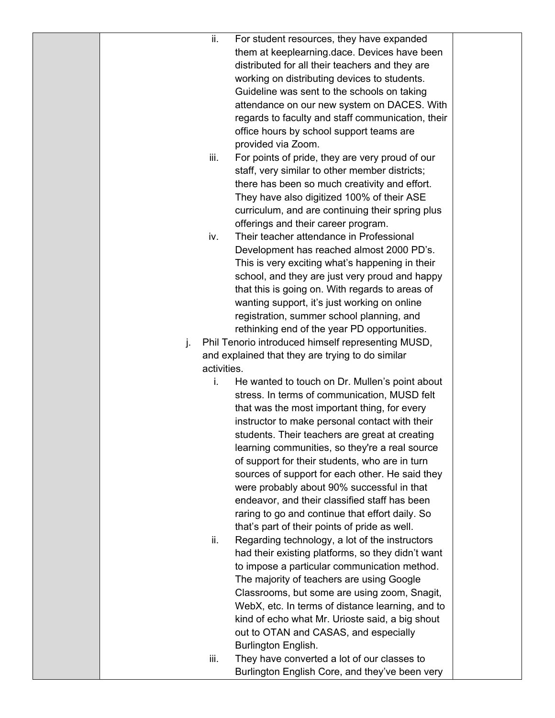| ii.  | For student resources, they have expanded                                                      |  |
|------|------------------------------------------------------------------------------------------------|--|
|      | them at keeplearning.dace. Devices have been                                                   |  |
|      | distributed for all their teachers and they are                                                |  |
|      |                                                                                                |  |
|      | working on distributing devices to students.                                                   |  |
|      | Guideline was sent to the schools on taking                                                    |  |
|      | attendance on our new system on DACES. With                                                    |  |
|      | regards to faculty and staff communication, their                                              |  |
|      | office hours by school support teams are                                                       |  |
|      | provided via Zoom.                                                                             |  |
| iii. | For points of pride, they are very proud of our                                                |  |
|      | staff, very similar to other member districts;                                                 |  |
|      | there has been so much creativity and effort.                                                  |  |
|      | They have also digitized 100% of their ASE<br>curriculum, and are continuing their spring plus |  |
|      |                                                                                                |  |
| iv.  | offerings and their career program.<br>Their teacher attendance in Professional                |  |
|      | Development has reached almost 2000 PD's.                                                      |  |
|      | This is very exciting what's happening in their                                                |  |
|      | school, and they are just very proud and happy                                                 |  |
|      | that this is going on. With regards to areas of                                                |  |
|      | wanting support, it's just working on online                                                   |  |
|      | registration, summer school planning, and                                                      |  |
|      | rethinking end of the year PD opportunities.                                                   |  |
| j.   | Phil Tenorio introduced himself representing MUSD,                                             |  |
|      | and explained that they are trying to do similar                                               |  |
|      | activities.                                                                                    |  |
| i.   | He wanted to touch on Dr. Mullen's point about                                                 |  |
|      | stress. In terms of communication, MUSD felt                                                   |  |
|      | that was the most important thing, for every                                                   |  |
|      | instructor to make personal contact with their                                                 |  |
|      | students. Their teachers are great at creating                                                 |  |
|      | learning communities, so they're a real source                                                 |  |
|      | of support for their students, who are in turn                                                 |  |
|      | sources of support for each other. He said they                                                |  |
|      | were probably about 90% successful in that                                                     |  |
|      | endeavor, and their classified staff has been                                                  |  |
|      | raring to go and continue that effort daily. So                                                |  |
|      | that's part of their points of pride as well.                                                  |  |
| ii.  | Regarding technology, a lot of the instructors                                                 |  |
|      | had their existing platforms, so they didn't want                                              |  |
|      | to impose a particular communication method.                                                   |  |
|      | The majority of teachers are using Google                                                      |  |
|      | Classrooms, but some are using zoom, Snagit,                                                   |  |
|      | WebX, etc. In terms of distance learning, and to                                               |  |
|      | kind of echo what Mr. Urioste said, a big shout                                                |  |
|      | out to OTAN and CASAS, and especially                                                          |  |
|      | Burlington English.                                                                            |  |
| iii. | They have converted a lot of our classes to                                                    |  |
|      | Burlington English Core, and they've been very                                                 |  |
|      |                                                                                                |  |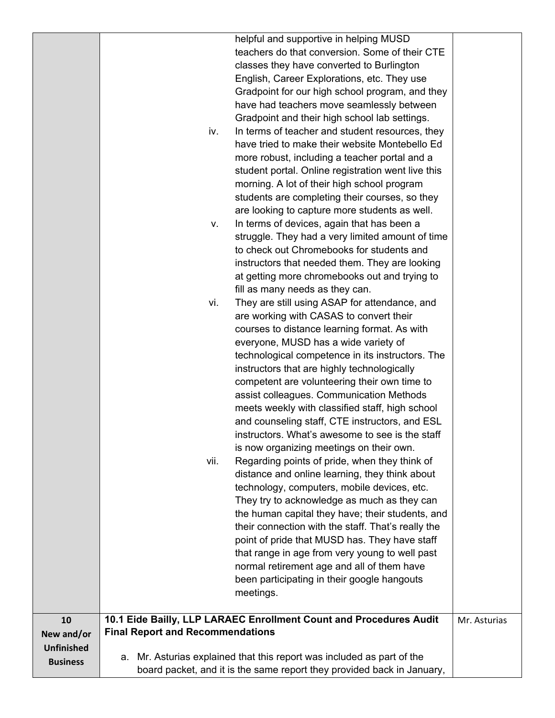|                   | helpful and supportive in helping MUSD                                 |              |
|-------------------|------------------------------------------------------------------------|--------------|
|                   | teachers do that conversion. Some of their CTE                         |              |
|                   | classes they have converted to Burlington                              |              |
|                   | English, Career Explorations, etc. They use                            |              |
|                   | Gradpoint for our high school program, and they                        |              |
|                   | have had teachers move seamlessly between                              |              |
|                   | Gradpoint and their high school lab settings.                          |              |
|                   | In terms of teacher and student resources, they<br>iv.                 |              |
|                   | have tried to make their website Montebello Ed                         |              |
|                   | more robust, including a teacher portal and a                          |              |
|                   | student portal. Online registration went live this                     |              |
|                   | morning. A lot of their high school program                            |              |
|                   | students are completing their courses, so they                         |              |
|                   | are looking to capture more students as well.                          |              |
|                   | In terms of devices, again that has been a<br>v.                       |              |
|                   | struggle. They had a very limited amount of time                       |              |
|                   | to check out Chromebooks for students and                              |              |
|                   | instructors that needed them. They are looking                         |              |
|                   | at getting more chromebooks out and trying to                          |              |
|                   | fill as many needs as they can.                                        |              |
|                   | They are still using ASAP for attendance, and<br>vi.                   |              |
|                   | are working with CASAS to convert their                                |              |
|                   | courses to distance learning format. As with                           |              |
|                   | everyone, MUSD has a wide variety of                                   |              |
|                   | technological competence in its instructors. The                       |              |
|                   | instructors that are highly technologically                            |              |
|                   | competent are volunteering their own time to                           |              |
|                   | assist colleagues. Communication Methods                               |              |
|                   | meets weekly with classified staff, high school                        |              |
|                   | and counseling staff, CTE instructors, and ESL                         |              |
|                   | instructors. What's awesome to see is the staff                        |              |
|                   | is now organizing meetings on their own.                               |              |
|                   | Regarding points of pride, when they think of<br>vii.                  |              |
|                   | distance and online learning, they think about                         |              |
|                   | technology, computers, mobile devices, etc.                            |              |
|                   | They try to acknowledge as much as they can                            |              |
|                   | the human capital they have; their students, and                       |              |
|                   | their connection with the staff. That's really the                     |              |
|                   | point of pride that MUSD has. They have staff                          |              |
|                   | that range in age from very young to well past                         |              |
|                   | normal retirement age and all of them have                             |              |
|                   | been participating in their google hangouts                            |              |
|                   | meetings.                                                              |              |
|                   |                                                                        |              |
| 10                | 10.1 Eide Bailly, LLP LARAEC Enrollment Count and Procedures Audit     | Mr. Asturias |
| New and/or        | <b>Final Report and Recommendations</b>                                |              |
| <b>Unfinished</b> |                                                                        |              |
|                   | a. Mr. Asturias explained that this report was included as part of the |              |
| <b>Business</b>   | board packet, and it is the same report they provided back in January, |              |
|                   |                                                                        |              |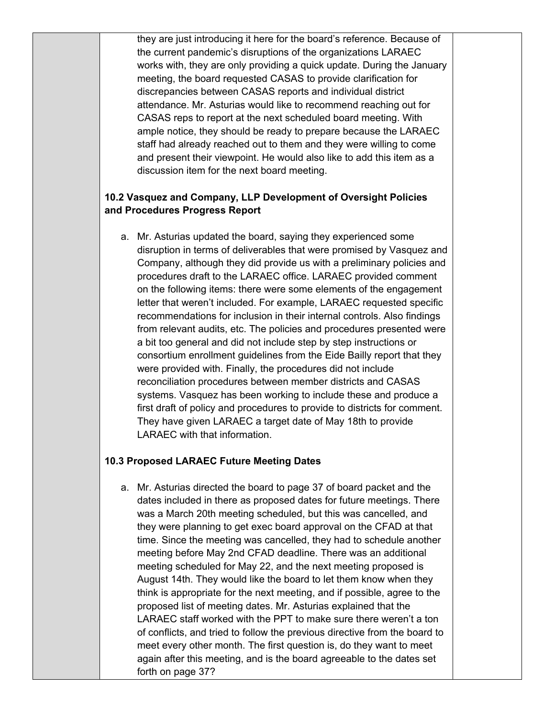they are just introducing it here for the board's reference. Because of the current pandemic's disruptions of the organizations LARAEC works with, they are only providing a quick update. During the January meeting, the board requested CASAS to provide clarification for discrepancies between CASAS reports and individual district attendance. Mr. Asturias would like to recommend reaching out for CASAS reps to report at the next scheduled board meeting. With ample notice, they should be ready to prepare because the LARAEC staff had already reached out to them and they were willing to come and present their viewpoint. He would also like to add this item as a discussion item for the next board meeting.

## **10.2 Vasquez and Company, LLP Development of Oversight Policies and Procedures Progress Report**

a. Mr. Asturias updated the board, saying they experienced some disruption in terms of deliverables that were promised by Vasquez and Company, although they did provide us with a preliminary policies and procedures draft to the LARAEC office. LARAEC provided comment on the following items: there were some elements of the engagement letter that weren't included. For example, LARAEC requested specific recommendations for inclusion in their internal controls. Also findings from relevant audits, etc. The policies and procedures presented were a bit too general and did not include step by step instructions or consortium enrollment guidelines from the Eide Bailly report that they were provided with. Finally, the procedures did not include reconciliation procedures between member districts and CASAS systems. Vasquez has been working to include these and produce a first draft of policy and procedures to provide to districts for comment. They have given LARAEC a target date of May 18th to provide LARAEC with that information.

## **10.3 Proposed LARAEC Future Meeting Dates**

a. Mr. Asturias directed the board to page 37 of board packet and the dates included in there as proposed dates for future meetings. There was a March 20th meeting scheduled, but this was cancelled, and they were planning to get exec board approval on the CFAD at that time. Since the meeting was cancelled, they had to schedule another meeting before May 2nd CFAD deadline. There was an additional meeting scheduled for May 22, and the next meeting proposed is August 14th. They would like the board to let them know when they think is appropriate for the next meeting, and if possible, agree to the proposed list of meeting dates. Mr. Asturias explained that the LARAEC staff worked with the PPT to make sure there weren't a ton of conflicts, and tried to follow the previous directive from the board to meet every other month. The first question is, do they want to meet again after this meeting, and is the board agreeable to the dates set forth on page 37?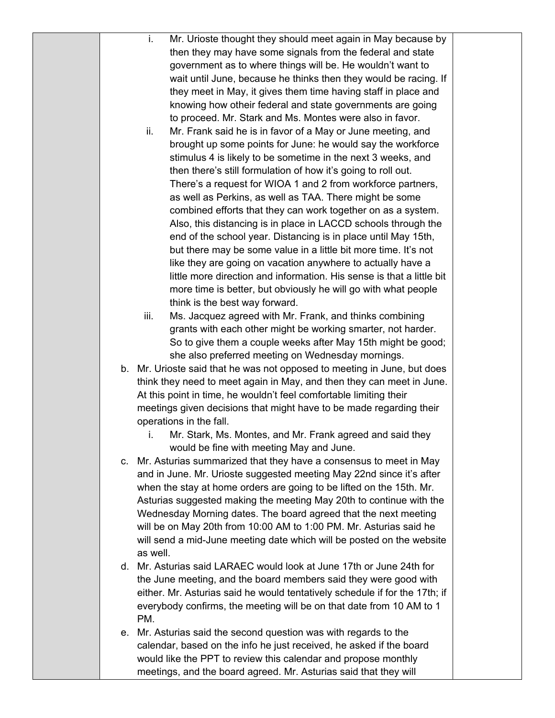|  | Mr. Urioste thought they should meet again in May because by<br>i.          |
|--|-----------------------------------------------------------------------------|
|  | then they may have some signals from the federal and state                  |
|  | government as to where things will be. He wouldn't want to                  |
|  | wait until June, because he thinks then they would be racing. If            |
|  | they meet in May, it gives them time having staff in place and              |
|  | knowing how otheir federal and state governments are going                  |
|  | to proceed. Mr. Stark and Ms. Montes were also in favor.                    |
|  | Mr. Frank said he is in favor of a May or June meeting, and<br>ii.          |
|  | brought up some points for June: he would say the workforce                 |
|  | stimulus 4 is likely to be sometime in the next 3 weeks, and                |
|  | then there's still formulation of how it's going to roll out.               |
|  | There's a request for WIOA 1 and 2 from workforce partners,                 |
|  | as well as Perkins, as well as TAA. There might be some                     |
|  | combined efforts that they can work together on as a system.                |
|  | Also, this distancing is in place in LACCD schools through the              |
|  | end of the school year. Distancing is in place until May 15th,              |
|  | but there may be some value in a little bit more time. It's not             |
|  | like they are going on vacation anywhere to actually have a                 |
|  | little more direction and information. His sense is that a little bit       |
|  | more time is better, but obviously he will go with what people              |
|  | think is the best way forward.                                              |
|  | iii.<br>Ms. Jacquez agreed with Mr. Frank, and thinks combining             |
|  | grants with each other might be working smarter, not harder.                |
|  | So to give them a couple weeks after May 15th might be good;                |
|  | she also preferred meeting on Wednesday mornings.                           |
|  | b. Mr. Urioste said that he was not opposed to meeting in June, but does    |
|  | think they need to meet again in May, and then they can meet in June.       |
|  | At this point in time, he wouldn't feel comfortable limiting their          |
|  | meetings given decisions that might have to be made regarding their         |
|  | operations in the fall.                                                     |
|  | Mr. Stark, Ms. Montes, and Mr. Frank agreed and said they<br>i.             |
|  | would be fine with meeting May and June.                                    |
|  | c. Mr. Asturias summarized that they have a consensus to meet in May        |
|  | and in June. Mr. Urioste suggested meeting May 22nd since it's after        |
|  | when the stay at home orders are going to be lifted on the 15th. Mr.        |
|  | Asturias suggested making the meeting May 20th to continue with the         |
|  | Wednesday Morning dates. The board agreed that the next meeting             |
|  | will be on May 20th from 10:00 AM to 1:00 PM. Mr. Asturias said he          |
|  | will send a mid-June meeting date which will be posted on the website       |
|  | as well.                                                                    |
|  | d. Mr. Asturias said LARAEC would look at June 17th or June 24th for        |
|  | the June meeting, and the board members said they were good with            |
|  | either. Mr. Asturias said he would tentatively schedule if for the 17th; if |
|  | everybody confirms, the meeting will be on that date from 10 AM to 1        |
|  | PM.                                                                         |
|  | e. Mr. Asturias said the second question was with regards to the            |
|  | calendar, based on the info he just received, he asked if the board         |
|  | would like the PPT to review this calendar and propose monthly              |
|  | meetings, and the board agreed. Mr. Asturias said that they will            |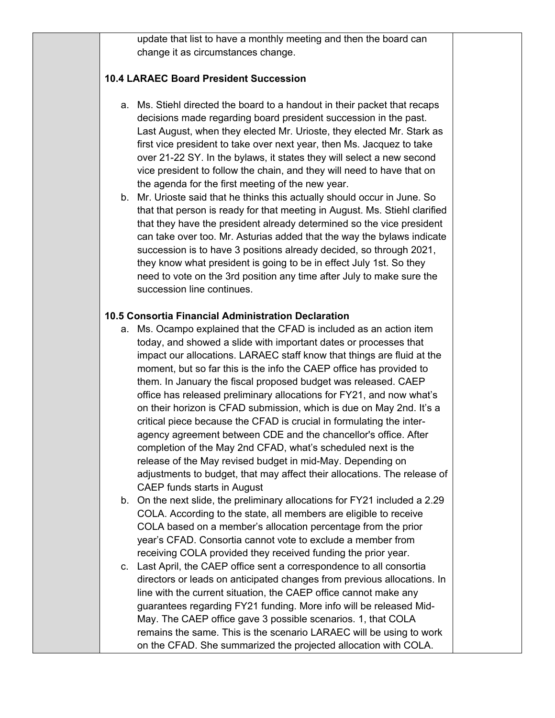update that list to have a monthly meeting and then the board can change it as circumstances change.

#### **10.4 LARAEC Board President Succession**

- a. Ms. Stiehl directed the board to a handout in their packet that recaps decisions made regarding board president succession in the past. Last August, when they elected Mr. Urioste, they elected Mr. Stark as first vice president to take over next year, then Ms. Jacquez to take over 21-22 SY. In the bylaws, it states they will select a new second vice president to follow the chain, and they will need to have that on the agenda for the first meeting of the new year.
- b. Mr. Urioste said that he thinks this actually should occur in June. So that that person is ready for that meeting in August. Ms. Stiehl clarified that they have the president already determined so the vice president can take over too. Mr. Asturias added that the way the bylaws indicate succession is to have 3 positions already decided, so through 2021, they know what president is going to be in effect July 1st. So they need to vote on the 3rd position any time after July to make sure the succession line continues.

## **10.5 Consortia Financial Administration Declaration**

- a. Ms. Ocampo explained that the CFAD is included as an action item today, and showed a slide with important dates or processes that impact our allocations. LARAEC staff know that things are fluid at the moment, but so far this is the info the CAEP office has provided to them. In January the fiscal proposed budget was released. CAEP office has released preliminary allocations for FY21, and now what's on their horizon is CFAD submission, which is due on May 2nd. It's a critical piece because the CFAD is crucial in formulating the interagency agreement between CDE and the chancellor's office. After completion of the May 2nd CFAD, what's scheduled next is the release of the May revised budget in mid-May. Depending on adjustments to budget, that may affect their allocations. The release of CAEP funds starts in August
- b. On the next slide, the preliminary allocations for FY21 included a 2.29 COLA. According to the state, all members are eligible to receive COLA based on a member's allocation percentage from the prior year's CFAD. Consortia cannot vote to exclude a member from receiving COLA provided they received funding the prior year.
- c. Last April, the CAEP office sent a correspondence to all consortia directors or leads on anticipated changes from previous allocations. In line with the current situation, the CAEP office cannot make any guarantees regarding FY21 funding. More info will be released Mid-May. The CAEP office gave 3 possible scenarios. 1, that COLA remains the same. This is the scenario LARAEC will be using to work on the CFAD. She summarized the projected allocation with COLA.